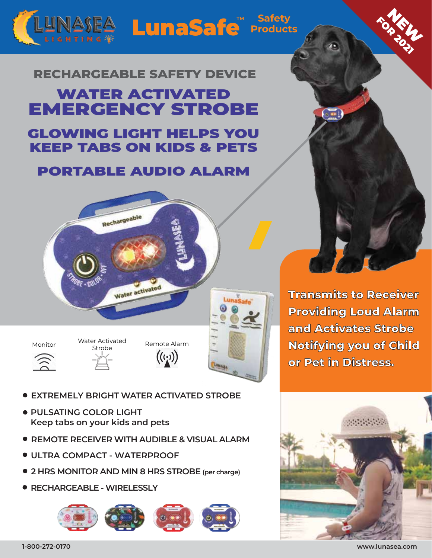## LunaSafe<sup>™ Safety</sup><br>
Products **TM**

## **RECHARGEABLE SAFETY DEVICE**

## WATER ACTIVATED EMERGENCY STROBE

## GLOWING LIGHT HELPS YOU KEEP TABS ON KIDS & PETS

## PORTABLE AUDIO ALARM





- **EXTREMELY BRIGHT WATER ACTIVATED STROBE**
- **PULSATING COLOR LIGHT Keep tabs on your kids and pets**
- **REMOTE RECEIVER WITH AUDIBLE & VISUAL ALARM**
- **ULTRA COMPACT WATERPROOF**
- **2 HRS MONITOR AND MIN 8 HRS STROBE (per charge)**
- **RECHARGEABLE WIRELESSLY**



**Transmits to Receiver Providing Loud Alarm and Activates Strobe Notifying you of Child or Pet in Distress.**

NEW YORK **FOR 2021** 



**www.lunasea.com**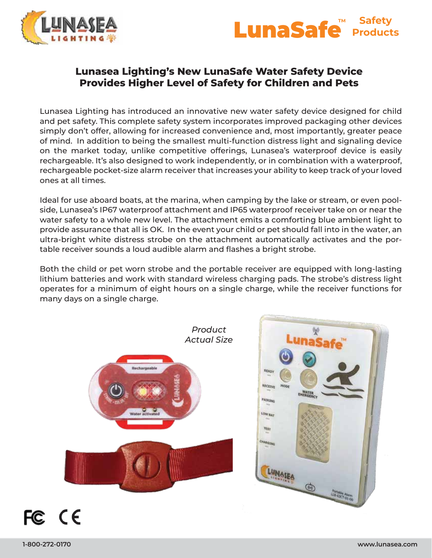



#### **Lunasea Lighting's New LunaSafe Water Safety Device Provides Higher Level of Safety for Children and Pets**

Lunasea Lighting has introduced an innovative new water safety device designed for child and pet safety. This complete safety system incorporates improved packaging other devices simply don't offer, allowing for increased convenience and, most importantly, greater peace of mind. In addition to being the smallest multi-function distress light and signaling device on the market today, unlike competitive offerings, Lunasea's waterproof device is easily rechargeable. It's also designed to work independently, or in combination with a waterproof, rechargeable pocket-size alarm receiver that increases your ability to keep track of your loved ones at all times.

Ideal for use aboard boats, at the marina, when camping by the lake or stream, or even poolside, Lunasea's IP67 waterproof attachment and IP65 waterproof receiver take on or near the water safety to a whole new level. The attachment emits a comforting blue ambient light to provide assurance that all is OK. In the event your child or pet should fall into in the water, an ultra-bright white distress strobe on the attachment automatically activates and the portable receiver sounds a loud audible alarm and flashes a bright strobe.

Both the child or pet worn strobe and the portable receiver are equipped with long-lasting lithium batteries and work with standard wireless charging pads. The strobe's distress light operates for a minimum of eight hours on a single charge, while the receiver functions for many days on a single charge.

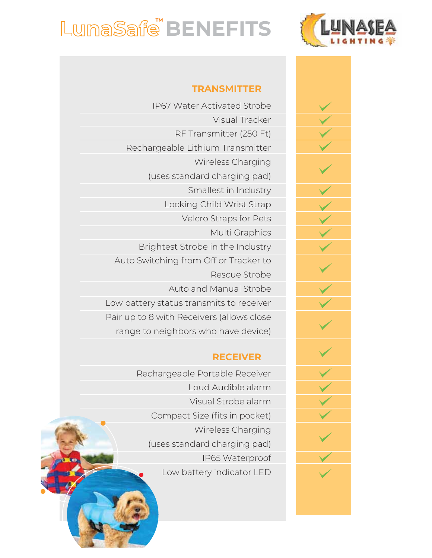

# LunaSafe<sup>"</sup> BENEFITS

### **TRANSMITTER**

IP67 Water Activated Strobe Visual Tracker RF Transmitter (250 Ft) Rechargeable Lithium Transmitter Wireless Charging (uses standard charging pad) Smallest in Industry Locking Child Wrist Strap Velcro Straps for Pets Multi Graphics Brightest Strobe in the Industry Auto Switching from Off or Tracker to Rescue Strobe Auto and Manual Strobe Low battery status transmits to receiver Pair up to 8 with Receivers (allows close range to neighbors who have device)

#### **RECEIVER**

Rechargeable Portable Receiver Loud Audible alarm Visual Strobe alarm Compact Size (fits in pocket) Wireless Charging (uses standard charging pad) IP65 Waterproof Low battery indicator LED